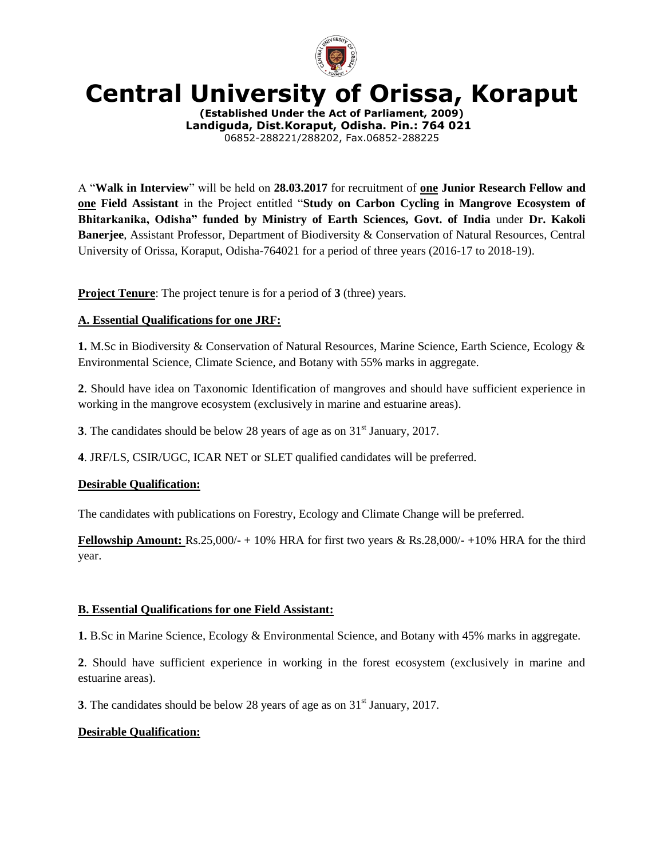

# **Central University of Orissa, Koraput**

**(Established Under the Act of Parliament, 2009) Landiguda, Dist.Koraput, Odisha. Pin.: 764 021** 06852-288221/288202, Fax.06852-288225

A "**Walk in Interview**" will be held on **28.03.2017** for recruitment of **one Junior Research Fellow and one Field Assistant** in the Project entitled "**Study on Carbon Cycling in Mangrove Ecosystem of Bhitarkanika, Odisha" funded by Ministry of Earth Sciences, Govt. of India** under **Dr. Kakoli Banerjee**, Assistant Professor, Department of Biodiversity & Conservation of Natural Resources, Central University of Orissa, Koraput, Odisha-764021 for a period of three years (2016-17 to 2018-19).

**Project Tenure**: The project tenure is for a period of **3** (three) years.

### **A. Essential Qualifications for one JRF:**

**1.** M.Sc in Biodiversity & Conservation of Natural Resources, Marine Science, Earth Science, Ecology & Environmental Science, Climate Science, and Botany with 55% marks in aggregate.

**2**. Should have idea on Taxonomic Identification of mangroves and should have sufficient experience in working in the mangrove ecosystem (exclusively in marine and estuarine areas).

**3**. The candidates should be below 28 years of age as on  $31<sup>st</sup>$  January, 2017.

**4**. JRF/LS, CSIR/UGC, ICAR NET or SLET qualified candidates will be preferred.

#### **Desirable Qualification:**

The candidates with publications on Forestry, Ecology and Climate Change will be preferred.

**Fellowship Amount:**  $\text{Rs.25,000/-} + 10\%$  HRA for first two years & Rs.28,000/- $+10\%$  HRA for the third year.

#### **B. Essential Qualifications for one Field Assistant:**

**1.** B.Sc in Marine Science, Ecology & Environmental Science, and Botany with 45% marks in aggregate.

**2**. Should have sufficient experience in working in the forest ecosystem (exclusively in marine and estuarine areas).

**3**. The candidates should be below 28 years of age as on  $31<sup>st</sup>$  January, 2017.

## **Desirable Qualification:**